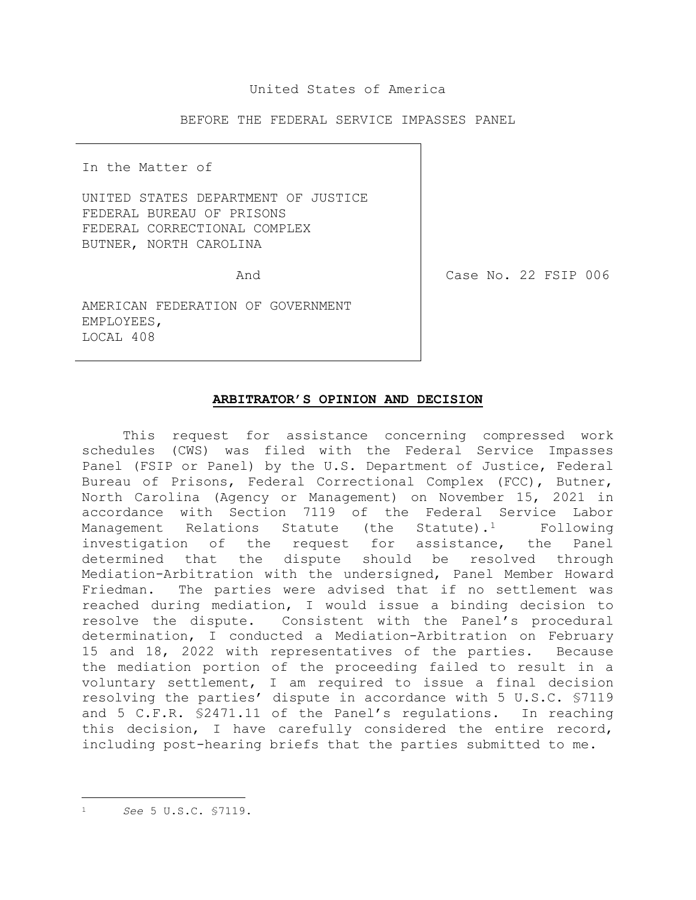## United States of America

BEFORE THE FEDERAL SERVICE IMPASSES PANEL

In the Matter of

UNITED STATES DEPARTMENT OF JUSTICE FEDERAL BUREAU OF PRISONS FEDERAL CORRECTIONAL COMPLEX BUTNER, NORTH CAROLINA

And

Case No. 22 FSIP 006

AMERICAN FEDERATION OF GOVERNMENT EMPLOYEES, LOCAL 408

## **ARBITRATOR'S OPINION AND DECISION**

<span id="page-0-0"></span>This request for assistance concerning compressed work schedules (CWS) was filed with the Federal Service Impasses Panel (FSIP or Panel) by the U.S. Department of Justice, Federal Bureau of Prisons, Federal Correctional Complex (FCC), Butner, North Carolina (Agency or Management) on November 15, 2021 in accordance with Section 7119 of the Federal Service Labor Management Relations Statute (the Statute).<sup>[1](#page-0-0)</sup> Following investigation of the request for assistance, the Panel determined that the dispute should be resolved through Mediation-Arbitration with the undersigned, Panel Member Howard Friedman. The parties were advised that if no settlement was reached during mediation, I would issue a binding decision to resolve the dispute. Consistent with the Panel's procedural determination, I conducted a Mediation-Arbitration on February 15 and 18, 2022 with representatives of the parties. Because the mediation portion of the proceeding failed to result in a voluntary settlement, I am required to issue a final decision resolving the parties' dispute in accordance with 5 U.S.C. §7119 and 5 C.F.R. §2471.11 of the Panel's regulations. In reaching this decision, I have carefully considered the entire record, including post-hearing briefs that the parties submitted to me.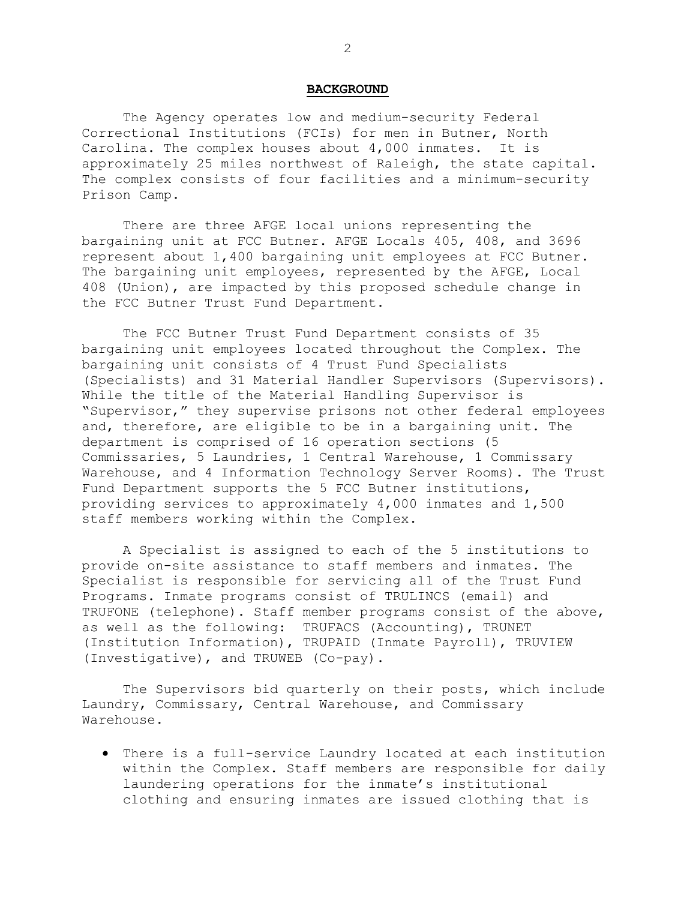### **BACKGROUND**

The Agency operates low and medium-security Federal Correctional Institutions (FCIs) for men in Butner, North Carolina. The complex houses about 4,000 inmates. It is approximately 25 miles northwest of Raleigh, the state capital. The complex consists of four facilities and a minimum-security Prison Camp.

There are three AFGE local unions representing the bargaining unit at FCC Butner. AFGE Locals 405, 408, and 3696 represent about 1,400 bargaining unit employees at FCC Butner. The bargaining unit employees, represented by the AFGE, Local 408 (Union), are impacted by this proposed schedule change in the FCC Butner Trust Fund Department.

The FCC Butner Trust Fund Department consists of 35 bargaining unit employees located throughout the Complex. The bargaining unit consists of 4 Trust Fund Specialists (Specialists) and 31 Material Handler Supervisors (Supervisors). While the title of the Material Handling Supervisor is "Supervisor," they supervise prisons not other federal employees and, therefore, are eligible to be in a bargaining unit. The department is comprised of 16 operation sections (5 Commissaries, 5 Laundries, 1 Central Warehouse, 1 Commissary Warehouse, and 4 Information Technology Server Rooms). The Trust Fund Department supports the 5 FCC Butner institutions, providing services to approximately 4,000 inmates and 1,500 staff members working within the Complex.

A Specialist is assigned to each of the 5 institutions to provide on-site assistance to staff members and inmates. The Specialist is responsible for servicing all of the Trust Fund Programs. Inmate programs consist of TRULINCS (email) and TRUFONE (telephone). Staff member programs consist of the above, as well as the following: TRUFACS (Accounting), TRUNET (Institution Information), TRUPAID (Inmate Payroll), TRUVIEW (Investigative), and TRUWEB (Co-pay).

The Supervisors bid quarterly on their posts, which include Laundry, Commissary, Central Warehouse, and Commissary Warehouse.

• There is a full-service Laundry located at each institution within the Complex. Staff members are responsible for daily laundering operations for the inmate's institutional clothing and ensuring inmates are issued clothing that is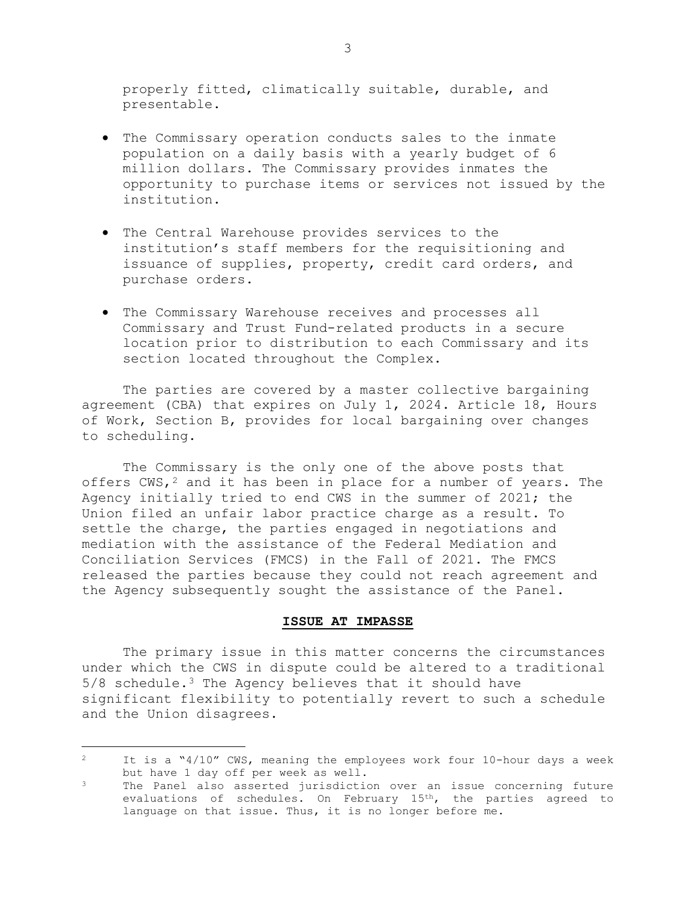properly fitted, climatically suitable, durable, and presentable.

- The Commissary operation conducts sales to the inmate population on a daily basis with a yearly budget of 6 million dollars. The Commissary provides inmates the opportunity to purchase items or services not issued by the institution.
- The Central Warehouse provides services to the institution's staff members for the requisitioning and issuance of supplies, property, credit card orders, and purchase orders.
- The Commissary Warehouse receives and processes all Commissary and Trust Fund-related products in a secure location prior to distribution to each Commissary and its section located throughout the Complex.

The parties are covered by a master collective bargaining agreement (CBA) that expires on July 1, 2024. Article 18, Hours of Work, Section B, provides for local bargaining over changes to scheduling.

The Commissary is the only one of the above posts that offers  $CWS,^2$  $CWS,^2$  and it has been in place for a number of years. The Agency initially tried to end CWS in the summer of 2021; the Union filed an unfair labor practice charge as a result. To settle the charge, the parties engaged in negotiations and mediation with the assistance of the Federal Mediation and Conciliation Services (FMCS) in the Fall of 2021. The FMCS released the parties because they could not reach agreement and the Agency subsequently sought the assistance of the Panel.

## **ISSUE AT IMPASSE**

The primary issue in this matter concerns the circumstances under which the CWS in dispute could be altered to a traditional  $5/8$  schedule.<sup>[3](#page-2-1)</sup> The Agency believes that it should have significant flexibility to potentially revert to such a schedule and the Union disagrees.

<span id="page-2-0"></span> $\mathcal{P}$ <sup>2</sup> It is a "4/10" CWS, meaning the employees work four 10-hour days a week but have 1 day off per week as well.

<span id="page-2-1"></span>The Panel also asserted jurisdiction over an issue concerning future evaluations of schedules. On February 15th, the parties agreed to language on that issue. Thus, it is no longer before me.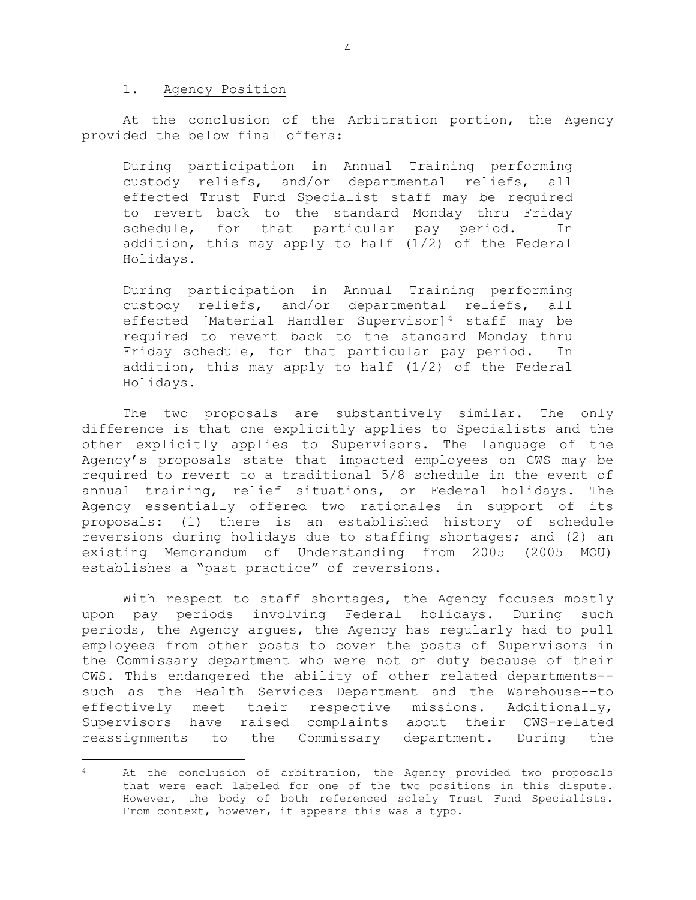#### 1. Agency Position

Ĩ.

At the conclusion of the Arbitration portion, the Agency provided the below final offers:

During participation in Annual Training performing<br>custody reliefs, and/or departmental reliefs, all custody reliefs, and/or departmental reliefs, effected Trust Fund Specialist staff may be required to revert back to the standard Monday thru Friday<br>schedule, for that particular pay period. In particular pay period. In addition, this may apply to half (1/2) of the Federal Holidays.

During participation in Annual Training performing<br>custody reliefs, and/or departmental reliefs, all custody reliefs, and/or departmental reliefs, effected [Material Handler Supervisor][4](#page-3-0) staff may be required to revert back to the standard Monday thru Friday schedule, for that particular pay period. In addition, this may apply to half (1/2) of the Federal Holidays.

The two proposals are substantively similar. The only difference is that one explicitly applies to Specialists and the other explicitly applies to Supervisors. The language of the Agency's proposals state that impacted employees on CWS may be required to revert to a traditional 5/8 schedule in the event of annual training, relief situations, or Federal holidays. The Agency essentially offered two rationales in support of its proposals: (1) there is an established history of schedule reversions during holidays due to staffing shortages; and (2) an existing Memorandum of Understanding from 2005 (2005 MOU) establishes a "past practice" of reversions.

With respect to staff shortages, the Agency focuses mostly upon pay periods involving Federal holidays. During such periods, the Agency argues, the Agency has regularly had to pull employees from other posts to cover the posts of Supervisors in the Commissary department who were not on duty because of their CWS. This endangered the ability of other related departments- such as the Health Services Department and the Warehouse--to effectively meet their respective missions. Additionally, Supervisors have raised complaints about their CWS-related reassignments to the Commissary department. During the

<span id="page-3-0"></span><sup>&</sup>lt;sup>4</sup> At the conclusion of arbitration, the Agency provided two proposals that were each labeled for one of the two positions in this dispute. However, the body of both referenced solely Trust Fund Specialists. From context, however, it appears this was a typo.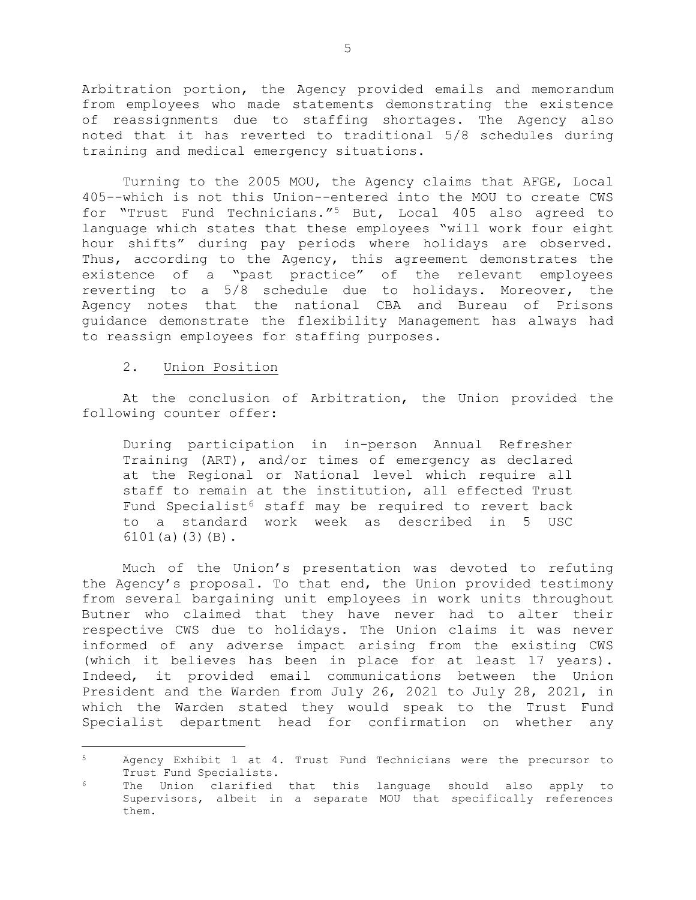Arbitration portion, the Agency provided emails and memorandum from employees who made statements demonstrating the existence of reassignments due to staffing shortages. The Agency also noted that it has reverted to traditional 5/8 schedules during training and medical emergency situations.

Turning to the 2005 MOU, the Agency claims that AFGE, Local 405--which is not this Union--entered into the MOU to create CWS for "Trust Fund Technicians."[5](#page-4-0) But, Local 405 also agreed to language which states that these employees "will work four eight hour shifts" during pay periods where holidays are observed. Thus, according to the Agency, this agreement demonstrates the existence of a "past practice" of the relevant employees reverting to a 5/8 schedule due to holidays. Moreover, the Agency notes that the national CBA and Bureau of Prisons guidance demonstrate the flexibility Management has always had to reassign employees for staffing purposes.

# 2. Union Position

At the conclusion of Arbitration, the Union provided the following counter offer:

During participation in in-person Annual Refresher Training (ART), and/or times of emergency as declared at the Regional or National level which require all staff to remain at the institution, all effected Trust Fund Specialist<sup>[6](#page-4-1)</sup> staff may be required to revert back to a standard work week as described in 5 USC 6101(a)(3)(B).

Much of the Union's presentation was devoted to refuting the Agency's proposal. To that end, the Union provided testimony from several bargaining unit employees in work units throughout Butner who claimed that they have never had to alter their respective CWS due to holidays. The Union claims it was never informed of any adverse impact arising from the existing CWS (which it believes has been in place for at least 17 years). Indeed, it provided email communications between the Union President and the Warden from July 26, 2021 to July 28, 2021, in which the Warden stated they would speak to the Trust Fund Specialist department head for confirmation on whether any

<span id="page-4-0"></span> $5 -$ Agency Exhibit 1 at 4. Trust Fund Technicians were the precursor to Trust Fund Specialists.

<span id="page-4-1"></span>The Union clarified that this language should also apply to Supervisors, albeit in a separate MOU that specifically references them.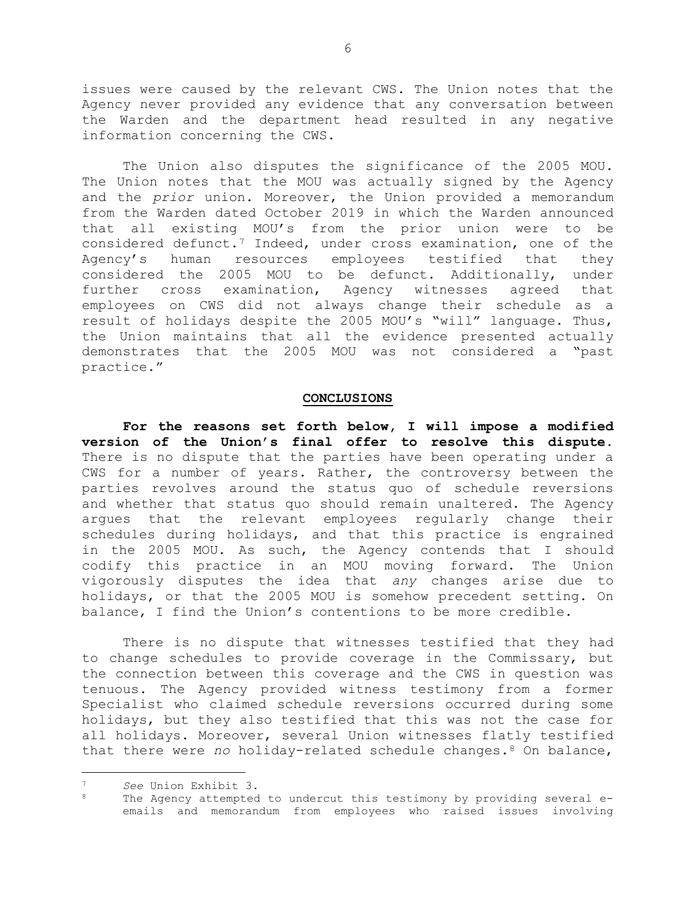issues were caused by the relevant CWS. The Union notes that the Agency never provided any evidence that any conversation between the Warden and the department head resulted in any negative information concerning the CWS.

The Union also disputes the significance of the 2005 MOU. The Union notes that the MOU was actually signed by the Agency and the *prior* union. Moreover, the Union provided a memorandum from the Warden dated October 2019 in which the Warden announced that all existing MOU's from the prior union were to be considered defunct[.7](#page-5-0) Indeed, under cross examination, one of the Agency's human resources employees testified that they considered the 2005 MOU to be defunct. Additionally, under further cross examination, Agency witnesses agreed that employees on CWS did not always change their schedule as a result of holidays despite the 2005 MOU's "will" language. Thus, the Union maintains that all the evidence presented actually demonstrates that the 2005 MOU was not considered a "past practice."

## **CONCLUSIONS**

**For the reasons set forth below, I will impose a modified version of the Union's final offer to resolve this dispute.** There is no dispute that the parties have been operating under a CWS for a number of years. Rather, the controversy between the parties revolves around the status quo of schedule reversions and whether that status quo should remain unaltered. The Agency argues that the relevant employees regularly change their schedules during holidays, and that this practice is engrained in the 2005 MOU. As such, the Agency contends that I should codify this practice in an MOU moving forward. The Union vigorously disputes the idea that *any* changes arise due to holidays, or that the 2005 MOU is somehow precedent setting. On balance, I find the Union's contentions to be more credible.

There is no dispute that witnesses testified that they had to change schedules to provide coverage in the Commissary, but the connection between this coverage and the CWS in question was tenuous. The Agency provided witness testimony from a former Specialist who claimed schedule reversions occurred during some holidays, but they also testified that this was not the case for all holidays. Moreover, several Union witnesses flatly testified that there were *no* holiday-related schedule changes.[8](#page-5-1) On balance,

<span id="page-5-0"></span>Ĩ. <sup>7</sup> *See* Union Exhibit 3.

<span id="page-5-1"></span>The Agency attempted to undercut this testimony by providing several eemails and memorandum from employees who raised issues involving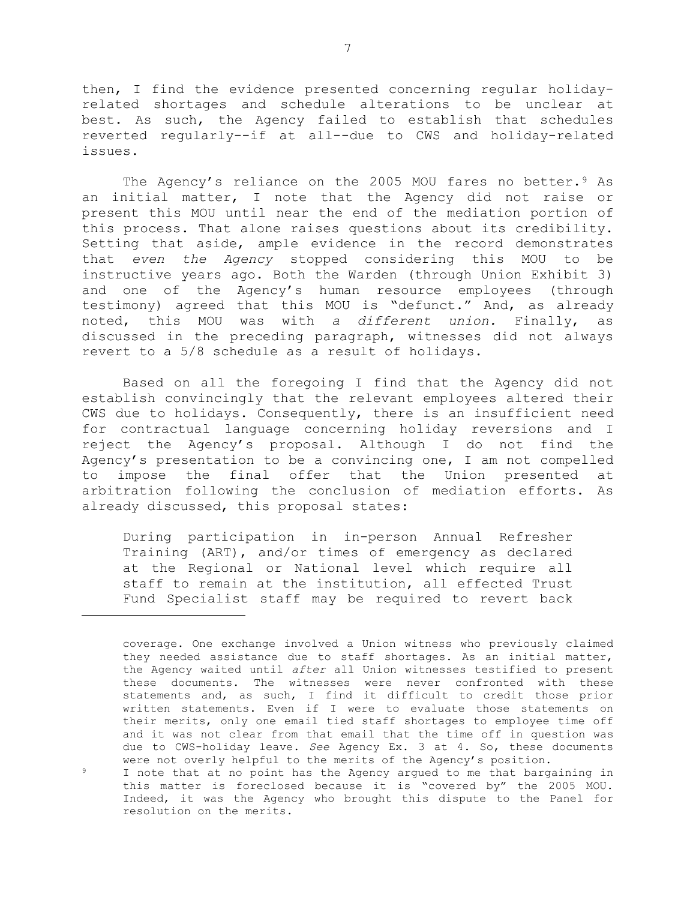then, I find the evidence presented concerning regular holidayrelated shortages and schedule alterations to be unclear at best. As such, the Agency failed to establish that schedules reverted regularly--if at all--due to CWS and holiday-related issues.

The Agency's reliance on the 2005 MOU fares no better.<sup>[9](#page-6-0)</sup> As an initial matter, I note that the Agency did not raise or present this MOU until near the end of the mediation portion of this process. That alone raises questions about its credibility. Setting that aside, ample evidence in the record demonstrates that *even the Agency* stopped considering this MOU to be instructive years ago. Both the Warden (through Union Exhibit 3) and one of the Agency's human resource employees (through testimony) agreed that this MOU is "defunct." And, as already noted, this MOU was with *a different union.* Finally, as discussed in the preceding paragraph, witnesses did not always revert to a 5/8 schedule as a result of holidays.

Based on all the foregoing I find that the Agency did not establish convincingly that the relevant employees altered their CWS due to holidays. Consequently, there is an insufficient need for contractual language concerning holiday reversions and I reject the Agency's proposal. Although I do not find the Agency's presentation to be a convincing one, I am not compelled<br>to impose the final offer that the Union presented at impose the final offer that the Union presented at arbitration following the conclusion of mediation efforts. As already discussed, this proposal states:

During participation in in-person Annual Refresher Training (ART), and/or times of emergency as declared at the Regional or National level which require all staff to remain at the institution, all effected Trust Fund Specialist staff may be required to revert back

ī

coverage. One exchange involved a Union witness who previously claimed they needed assistance due to staff shortages. As an initial matter, the Agency waited until *after* all Union witnesses testified to present these documents. The witnesses were never confronted with these statements and, as such, I find it difficult to credit those prior written statements. Even if I were to evaluate those statements on their merits, only one email tied staff shortages to employee time off and it was not clear from that email that the time off in question was due to CWS-holiday leave. *See* Agency Ex. 3 at 4. So, these documents were not overly helpful to the merits of the Agency's position.

<span id="page-6-0"></span><sup>9</sup> I note that at no point has the Agency argued to me that bargaining in this matter is foreclosed because it is "covered by" the 2005 MOU. Indeed, it was the Agency who brought this dispute to the Panel for resolution on the merits.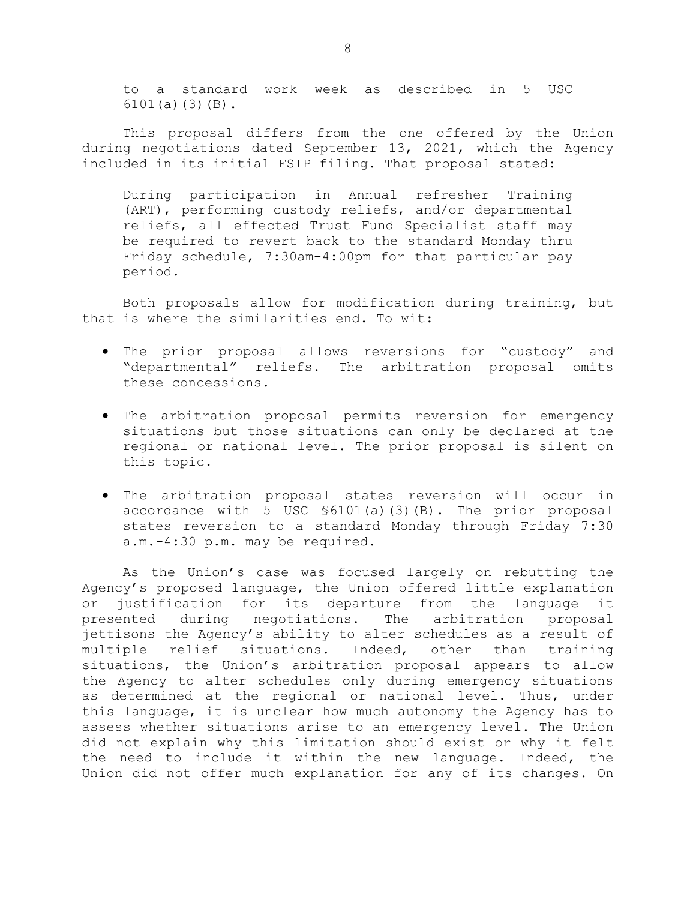to a standard work week as described in 5 USC 6101(a)(3)(B).

This proposal differs from the one offered by the Union during negotiations dated September 13, 2021, which the Agency included in its initial FSIP filing. That proposal stated:

During participation in Annual refresher Training (ART), performing custody reliefs, and/or departmental reliefs, all effected Trust Fund Specialist staff may be required to revert back to the standard Monday thru Friday schedule, 7:30am-4:00pm for that particular pay period.

Both proposals allow for modification during training, but that is where the similarities end. To wit:

- The prior proposal allows reversions for "custody" and "departmental" reliefs. The arbitration proposal omits these concessions.
- The arbitration proposal permits reversion for emergency situations but those situations can only be declared at the regional or national level. The prior proposal is silent on this topic.
- The arbitration proposal states reversion will occur in accordance with 5 USC §6101(a)(3)(B). The prior proposal states reversion to a standard Monday through Friday 7:30 a.m.-4:30 p.m. may be required.

As the Union's case was focused largely on rebutting the Agency's proposed language, the Union offered little explanation or justification for its departure from the language it<br>presented during negotiations. The arbitration proposal negotiations. The jettisons the Agency's ability to alter schedules as a result of multiple relief situations. Indeed, other than training situations, the Union's arbitration proposal appears to allow the Agency to alter schedules only during emergency situations as determined at the regional or national level. Thus, under this language, it is unclear how much autonomy the Agency has to assess whether situations arise to an emergency level. The Union did not explain why this limitation should exist or why it felt the need to include it within the new language. Indeed, the Union did not offer much explanation for any of its changes. On